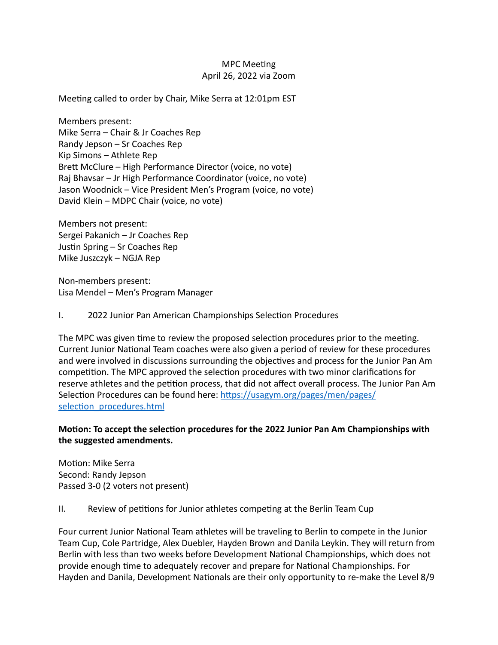# **MPC** Meeting April 26, 2022 via Zoom

Meeting called to order by Chair, Mike Serra at 12:01pm EST

Members present: Mike Serra – Chair & Jr Coaches Rep Randy Jepson  $-$  Sr Coaches Rep Kip Simons – Athlete  $Rep$ Brett McClure – High Performance Director (voice, no vote) Raj Bhavsar – Jr High Performance Coordinator (voice, no vote) Jason Woodnick – Vice President Men's Program (voice, no vote) David Klein - MDPC Chair (voice, no vote)

Members not present: Sergei Pakanich - Jr Coaches Rep Justin Spring  $-$  Sr Coaches Rep Mike Juszczyk – NGJA Rep

Non-members present: Lisa Mendel – Men's Program Manager

I. 2022 Junior Pan American Championships Selection Procedures

The MPC was given time to review the proposed selection procedures prior to the meeting. Current Junior National Team coaches were also given a period of review for these procedures and were involved in discussions surrounding the objectives and process for the Junior Pan Am competition. The MPC approved the selection procedures with two minor clarifications for reserve athletes and the petition process, that did not affect overall process. The Junior Pan Am Selection Procedures can be found here: https://usagym.org/pages/men/pages/ selection\_procedures.html

## **Motion: To accept the selection procedures for the 2022 Junior Pan Am Championships with** the suggested amendments.

Motion: Mike Serra Second: Randy Jepson Passed 3-0 (2 voters not present)

## II. Review of petitions for Junior athletes competing at the Berlin Team Cup

Four current Junior National Team athletes will be traveling to Berlin to compete in the Junior Team Cup, Cole Partridge, Alex Duebler, Hayden Brown and Danila Leykin. They will return from Berlin with less than two weeks before Development National Championships, which does not provide enough time to adequately recover and prepare for National Championships. For Hayden and Danila, Development Nationals are their only opportunity to re-make the Level 8/9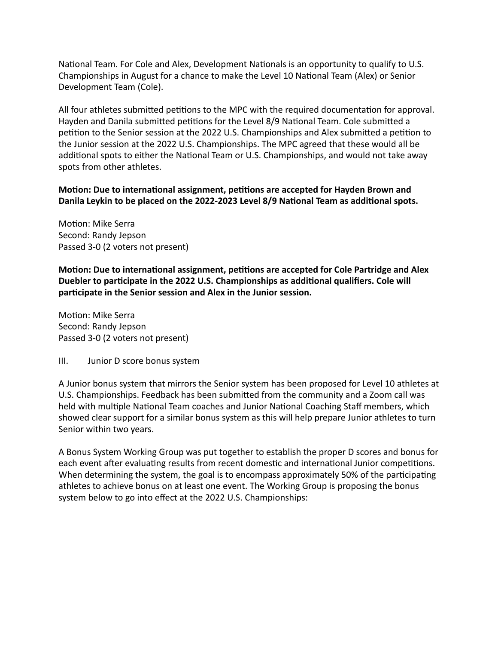National Team. For Cole and Alex, Development Nationals is an opportunity to qualify to U.S. Championships in August for a chance to make the Level 10 National Team (Alex) or Senior Development Team (Cole).

All four athletes submitted petitions to the MPC with the required documentation for approval. Hayden and Danila submitted petitions for the Level 8/9 National Team. Cole submitted a petition to the Senior session at the 2022 U.S. Championships and Alex submitted a petition to the Junior session at the 2022 U.S. Championships. The MPC agreed that these would all be additional spots to either the National Team or U.S. Championships, and would not take away spots from other athletes.

Motion: Due to international assignment, petitions are accepted for Hayden Brown and Danila Leykin to be placed on the 2022-2023 Level 8/9 National Team as additional spots.

Motion: Mike Serra Second: Randy Jepson Passed 3-0 (2 voters not present)

**Motion: Due to international assignment, petitions are accepted for Cole Partridge and Alex** Duebler to participate in the 2022 U.S. Championships as additional qualifiers. Cole will participate in the Senior session and Alex in the Junior session.

Motion: Mike Serra Second: Randy Jepson Passed 3-0 (2 voters not present)

## III. Junior D score bonus system

A Junior bonus system that mirrors the Senior system has been proposed for Level 10 athletes at U.S. Championships. Feedback has been submitted from the community and a Zoom call was held with multiple National Team coaches and Junior National Coaching Staff members, which showed clear support for a similar bonus system as this will help prepare Junior athletes to turn Senior within two years.

A Bonus System Working Group was put together to establish the proper D scores and bonus for each event after evaluating results from recent domestic and international Junior competitions. When determining the system, the goal is to encompass approximately 50% of the participating athletes to achieve bonus on at least one event. The Working Group is proposing the bonus system below to go into effect at the 2022 U.S. Championships: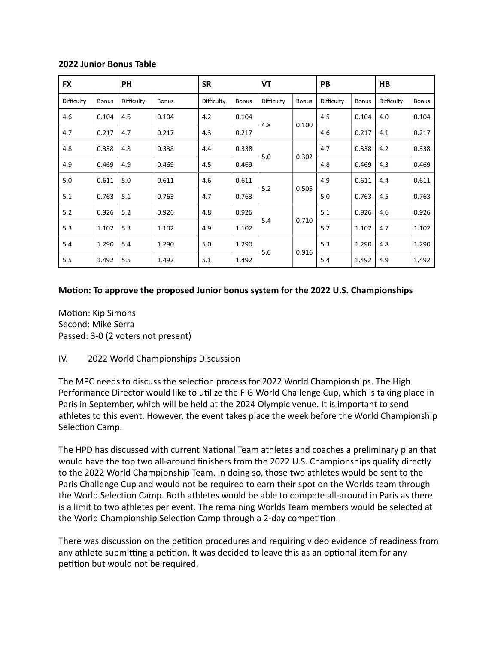#### **2022 Junior Bonus Table**

| <b>FX</b>  |              | <b>PH</b>  |              | <b>SR</b>  |              | <b>VT</b>  |              | PB         |              | HB         |              |
|------------|--------------|------------|--------------|------------|--------------|------------|--------------|------------|--------------|------------|--------------|
| Difficulty | <b>Bonus</b> | Difficulty | <b>Bonus</b> | Difficulty | <b>Bonus</b> | Difficulty | <b>Bonus</b> | Difficulty | <b>Bonus</b> | Difficulty | <b>Bonus</b> |
| 4.6        | 0.104        | 4.6        | 0.104        | 4.2        | 0.104        | 4.8        | 0.100        | 4.5        | 0.104        | 4.0        | 0.104        |
| 4.7        | 0.217        | 4.7        | 0.217        | 4.3        | 0.217        |            |              | 4.6        | 0.217        | 4.1        | 0.217        |
| 4.8        | 0.338        | 4.8        | 0.338        | 4.4        | 0.338        | 5.0        | 0.302        | 4.7        | 0.338        | 4.2        | 0.338        |
| 4.9        | 0.469        | 4.9        | 0.469        | 4.5        | 0.469        |            |              | 4.8        | 0.469        | 4.3        | 0.469        |
| 5.0        | 0.611        | 5.0        | 0.611        | 4.6        | 0.611        | 5.2        | 0.505        | 4.9        | 0.611        | 4.4        | 0.611        |
| 5.1        | 0.763        | 5.1        | 0.763        | 4.7        | 0.763        |            |              | 5.0        | 0.763        | 4.5        | 0.763        |
| 5.2        | 0.926        | 5.2        | 0.926        | 4.8        | 0.926        | 5.4        | 0.710        | 5.1        | 0.926        | 4.6        | 0.926        |
| 5.3        | 1.102        | 5.3        | 1.102        | 4.9        | 1.102        |            |              | 5.2        | 1.102        | 4.7        | 1.102        |
| 5.4        | 1.290        | 5.4        | 1.290        | 5.0        | 1.290        | 5.6        | 0.916        | 5.3        | 1.290        | 4.8        | 1.290        |
| 5.5        | 1.492        | 5.5        | 1.492        | 5.1        | 1.492        |            |              | 5.4        | 1.492        | 4.9        | 1.492        |

#### **Motion: To approve the proposed Junior bonus system for the 2022 U.S. Championships**

Motion: Kip Simons Second: Mike Serra Passed: 3-0 (2 voters not present)

IV. 2022 World Championships Discussion

The MPC needs to discuss the selection process for 2022 World Championships. The High Performance Director would like to utilize the FIG World Challenge Cup, which is taking place in Paris in September, which will be held at the 2024 Olympic venue. It is important to send athletes to this event. However, the event takes place the week before the World Championship Selection Camp.

The HPD has discussed with current National Team athletes and coaches a preliminary plan that would have the top two all-around finishers from the 2022 U.S. Championships qualify directly to the 2022 World Championship Team. In doing so, those two athletes would be sent to the Paris Challenge Cup and would not be required to earn their spot on the Worlds team through the World Selection Camp. Both athletes would be able to compete all-around in Paris as there is a limit to two athletes per event. The remaining Worlds Team members would be selected at the World Championship Selection Camp through a 2-day competition.

There was discussion on the petition procedures and requiring video evidence of readiness from any athlete submitting a petition. It was decided to leave this as an optional item for any petition but would not be required.